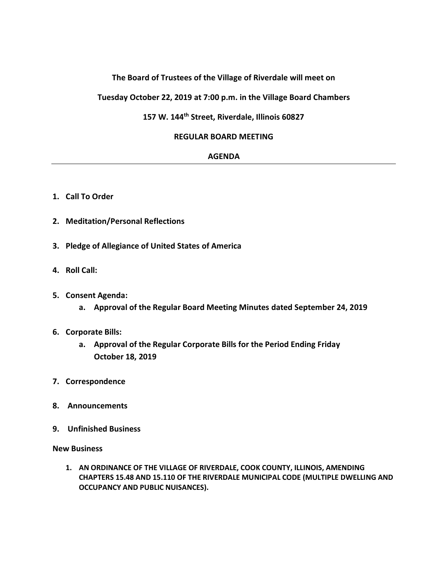# **The Board of Trustees of the Village of Riverdale will meet on**

**Tuesday October 22, 2019 at 7:00 p.m. in the Village Board Chambers**

# **157 W. 144th Street, Riverdale, Illinois 60827**

# **REGULAR BOARD MEETING**

#### **AGENDA**

- **1. Call To Order**
- **2. Meditation/Personal Reflections**
- **3. Pledge of Allegiance of United States of America**
- **4. Roll Call:**
- **5. Consent Agenda:**
	- **a. Approval of the Regular Board Meeting Minutes dated September 24, 2019**

#### **6. Corporate Bills:**

- **a. Approval of the Regular Corporate Bills for the Period Ending Friday October 18, 2019**
- **7. Correspondence**
- **8. Announcements**
- **9. Unfinished Business**

**New Business**

**1. AN ORDINANCE OF THE VILLAGE OF RIVERDALE, COOK COUNTY, ILLINOIS, AMENDING CHAPTERS 15.48 AND 15.110 OF THE RIVERDALE MUNICIPAL CODE (MULTIPLE DWELLING AND OCCUPANCY AND PUBLIC NUISANCES).**